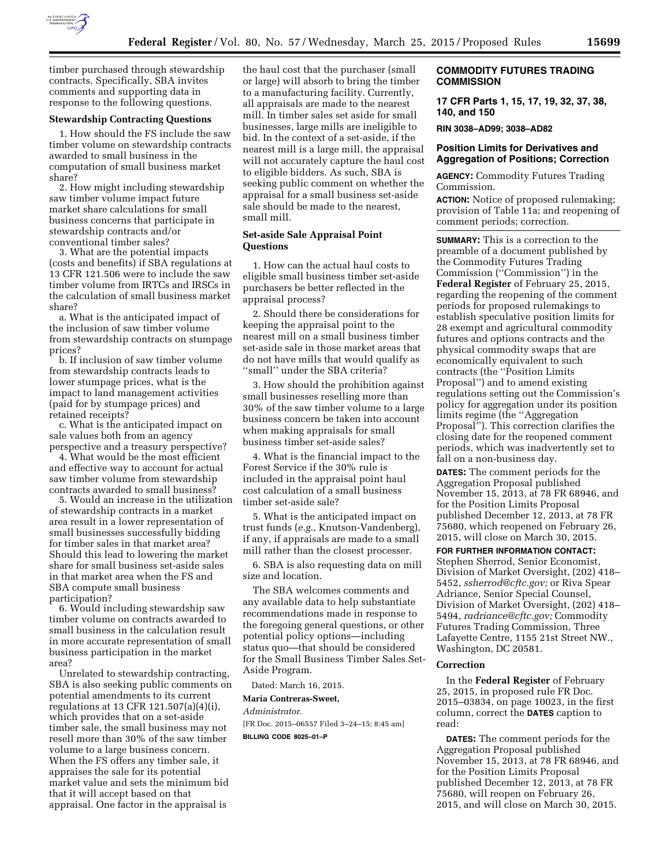

timber purchased through stewardship contracts. Specifically, SBA invites comments and supporting data in response to the following questions.

# **Stewardship Contracting Questions**

1. How should the FS include the saw timber volume on stewardship contracts awarded to small business in the computation of small business market share?

2. How might including stewardship saw timber volume impact future market share calculations for small business concerns that participate in stewardship contracts and/or conventional timber sales?

3. What are the potential impacts (costs and benefits) if SBA regulations at 13 CFR 121.506 were to include the saw timber volume from IRTCs and IRSCs in the calculation of small business market share?

a. What is the anticipated impact of the inclusion of saw timber volume from stewardship contracts on stumpage prices?

b. If inclusion of saw timber volume from stewardship contracts leads to lower stumpage prices, what is the impact to land management activities (paid for by stumpage prices) and retained receipts?

c. What is the anticipated impact on sale values both from an agency perspective and a treasury perspective?

4. What would be the most efficient and effective way to account for actual saw timber volume from stewardship contracts awarded to small business?

5. Would an increase in the utilization of stewardship contracts in a market area result in a lower representation of small businesses successfully bidding for timber sales in that market area? Should this lead to lowering the market share for small business set-aside sales in that market area when the FS and SBA compute small business participation?

6. Would including stewardship saw timber volume on contracts awarded to small business in the calculation result in more accurate representation of small business participation in the market area?

Unrelated to stewardship contracting, SBA is also seeking public comments on potential amendments to its current regulations at 13 CFR 121.507(a)(4)(i), which provides that on a set-aside timber sale, the small business may not resell more than 30% of the saw timber volume to a large business concern. When the FS offers any timber sale, it appraises the sale for its potential market value and sets the minimum bid that it will accept based on that appraisal. One factor in the appraisal is

the haul cost that the purchaser (small or large) will absorb to bring the timber to a manufacturing facility. Currently, all appraisals are made to the nearest mill. In timber sales set aside for small businesses, large mills are ineligible to bid. In the context of a set-aside, if the nearest mill is a large mill, the appraisal will not accurately capture the haul cost to eligible bidders. As such, SBA is seeking public comment on whether the appraisal for a small business set-aside sale should be made to the nearest, small mill.

# **Set-aside Sale Appraisal Point Questions**

1. How can the actual haul costs to eligible small business timber set-aside purchasers be better reflected in the appraisal process?

2. Should there be considerations for keeping the appraisal point to the nearest mill on a small business timber set-aside sale in those market areas that do not have mills that would qualify as ''small'' under the SBA criteria?

3. How should the prohibition against small businesses reselling more than 30% of the saw timber volume to a large business concern be taken into account when making appraisals for small business timber set-aside sales?

4. What is the financial impact to the Forest Service if the 30% rule is included in the appraisal point haul cost calculation of a small business timber set-aside sale?

5. What is the anticipated impact on trust funds (*e.g.,* Knutson-Vandenberg), if any, if appraisals are made to a small mill rather than the closest processer.

6. SBA is also requesting data on mill size and location.

The SBA welcomes comments and any available data to help substantiate recommendations made in response to the foregoing general questions, or other potential policy options—including status quo—that should be considered for the Small Business Timber Sales Set-Aside Program.

Dated: March 16, 2015.

**Maria Contreras-Sweet,** 

*Administrator.* 

[FR Doc. 2015–06557 Filed 3–24–15; 8:45 am]

**BILLING CODE 8025–01–P** 

### **COMMODITY FUTURES TRADING COMMISSION**

**17 CFR Parts 1, 15, 17, 19, 32, 37, 38, 140, and 150** 

**RIN 3038–AD99; 3038–AD82** 

### **Position Limits for Derivatives and Aggregation of Positions; Correction**

**AGENCY:** Commodity Futures Trading Commission.

**ACTION:** Notice of proposed rulemaking; provision of Table 11a; and reopening of comment periods; correction.

**SUMMARY:** This is a correction to the preamble of a document published by the Commodity Futures Trading Commission (''Commission'') in the **Federal Register** of February 25, 2015, regarding the reopening of the comment periods for proposed rulemakings to establish speculative position limits for 28 exempt and agricultural commodity futures and options contracts and the physical commodity swaps that are economically equivalent to such contracts (the ''Position Limits Proposal'') and to amend existing regulations setting out the Commission's policy for aggregation under its position limits regime (the ''Aggregation Proposal''). This correction clarifies the closing date for the reopened comment periods, which was inadvertently set to fall on a non-business day.

**DATES:** The comment periods for the Aggregation Proposal published November 15, 2013, at 78 FR 68946, and for the Position Limits Proposal published December 12, 2013, at 78 FR 75680, which reopened on February 26, 2015, will close on March 30, 2015.

#### **FOR FURTHER INFORMATION CONTACT:**

Stephen Sherrod, Senior Economist, Division of Market Oversight, (202) 418– 5452, *[ssherrod@cftc.gov;](mailto:ssherrod@cftc.gov)* or Riva Spear Adriance, Senior Special Counsel, Division of Market Oversight, (202) 418– 5494, *[radriance@cftc.gov;](mailto:radriance@cftc.gov)* Commodity Futures Trading Commission, Three Lafayette Centre, 1155 21st Street NW., Washington, DC 20581.

### **Correction**

In the **Federal Register** of February 25, 2015, in proposed rule FR Doc. 2015–03834, on page 10023, in the first column, correct the **DATES** caption to read:

**DATES:** The comment periods for the Aggregation Proposal published November 15, 2013, at 78 FR 68946, and for the Position Limits Proposal published December 12, 2013, at 78 FR 75680, will reopen on February 26, 2015, and will close on March 30, 2015.